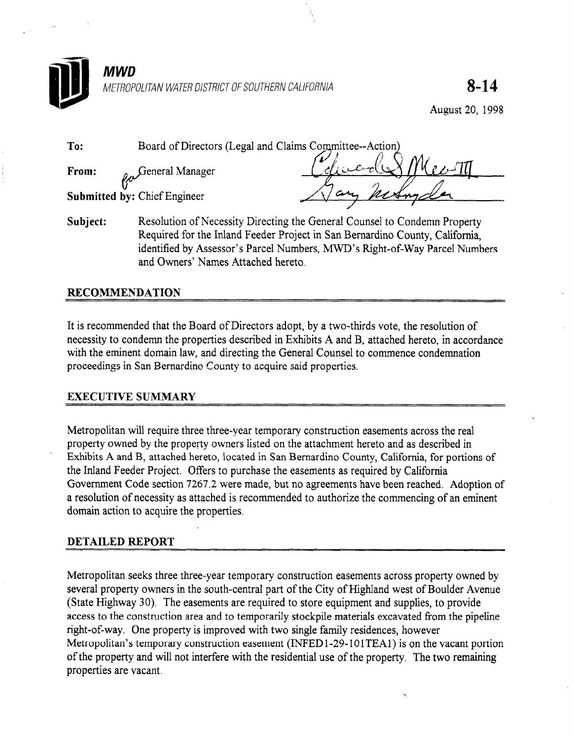

August 20, 1998

| To:   | Board of Directors (Legal and Claims Committee--Action) |         |
|-------|---------------------------------------------------------|---------|
| From: | $\sim$ General Manager                                  |         |
|       | <b>Submitted by: Chief Engineer</b>                     | retains |
|       |                                                         |         |

Subject: Resolution of Necessity Directing the General Counsel to Condemn Property Required for the Inland Feeder Project in San Bernardino County, California, identified by Assessor's Parcel Numbers, MWD's Right-of-Way Parcel Numbers and Owners' Names Attached hereto.

### RECOMMENDATION

It is recommended that the Board of Directors adopt, by a two-thirds vote, the resolution of necessity to condemn the properties described in Exhibits A and B, attached hereto, in accordance with the eminent domain law, and directing the General Counsel to commence condemnation proceedings in San Bernardino County to acquire said properties.

### EXECUTTVE SUMMARY

Metropolitan will require the temporary construction easements across three-year temporary construction easements across the real  $\alpha$ proportion will require three three-year temporary construction easements across the real property owned by the property owners listed on the attachment hereto and as described in Exhibits A and B, attached hereto, located in San Bernardino County, California, for portions of the Inland Feeder Project. Offers to purchase the easements as required by California Government Code section 7267.2 were made, but no agreements have been reached. Adoption of a resolution of necessity as attached is recommended to authorize the commencing of an eminent domain action to acquire the properties.

### **DETAILED REPORT**

Metropolitan seeks three three-year temporary construction easements across property owned by several property owners in the south-central part of the City of Highland west of Boulder Avenue (State Highway 30). The easements are required to store equipment and supplies, to provide access to the construction area and to temporarily stockpile materials excavated from the pipeline right-of-way. One property is improved with two single family residences, however Metropolitan's temporary construction easement (INFED1-29-101TEA1) is on the vacant portion of the property and will not interfere with the residential use of the property. The two remaining properties are vacant.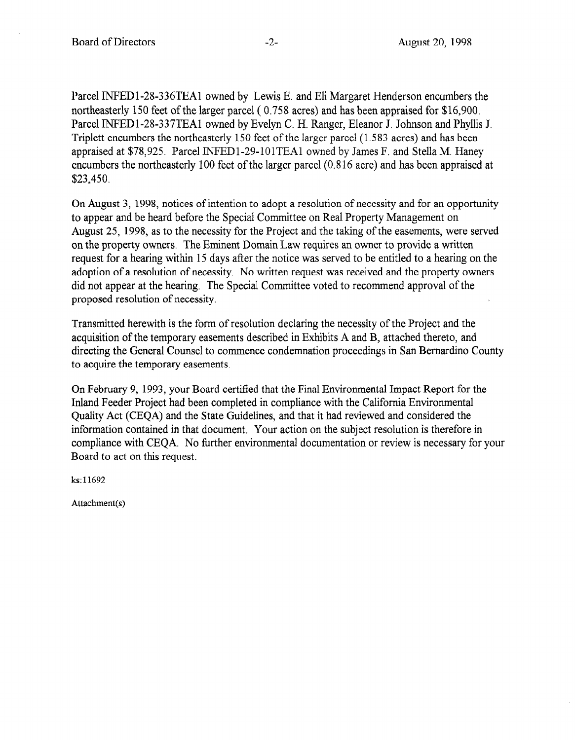Parcel INFED1-28-336TEA1 owned by Lewis E. and Eli Margaret Henderson encumbers the northeasterly 150 feet of the larger parcel ( 0.758 acres) and has been appraised for \$16,900. Parcel INFEDl-2%337TEAl owned by Evelyn C. H. Ranger, Eleanor J. Johnson and Phyllis J. Triplett encumbers the northeasterly 150 feet of the larger parcel (1.583 acres) and has been appraised at \$78,925. Parcel INFEDl-29-101TEAl owned by James F. and Stella M. Haney encumbers the northeasterly 100 feet of the larger parcel (0.8 16 acre) and has been appraised at \$23,450.

On August 3, 1998, notices of intention to adopt a resolution of necessity and for an opportunity to appear and be heard before the Special Committee on Real Property Management on August 25, 1998, as to the necessity for the Project and the taking of the easements, were served on the property owners. The Eminent Domain Law requires an owner to provide a written request for a hearing within 15 days after the notice was served to be entitled to a hearing on the adoption of a resolution of necessity. No written request was received and the property owners did not appear at the hearing. The Special Committee voted to recommend approval of the proposed resolution of necessity.

Transmitted herewith is the form of resolution declaring the necessity of the Project and the acquisition of the temporary easements described in Exhibits A and B, attached thereto, and directing the General Counsel to commence condemnation proceedings in San Bernardino County to acquire the temporary easements.

On February 9, 1993, your Board certified that the Final Environmental Impact Report for the  $\sum_{i=1}^{n}$   $\sum_{i=1}^{n}$   $\sum_{i=1}^{n}$  your board completed that the California Environmental Engineeric Report for mand I cluentify and the State Guidelines, and the Statement Library Construction Quality Act (CEQA) and the State Guidelines, and that it had reviewed and considered the information contained in that document. Your action on the subject resolution is therefore in compliance with CEQA. No further environmental documentation or review is necessary for your Board to act on this request.

Attachment(s)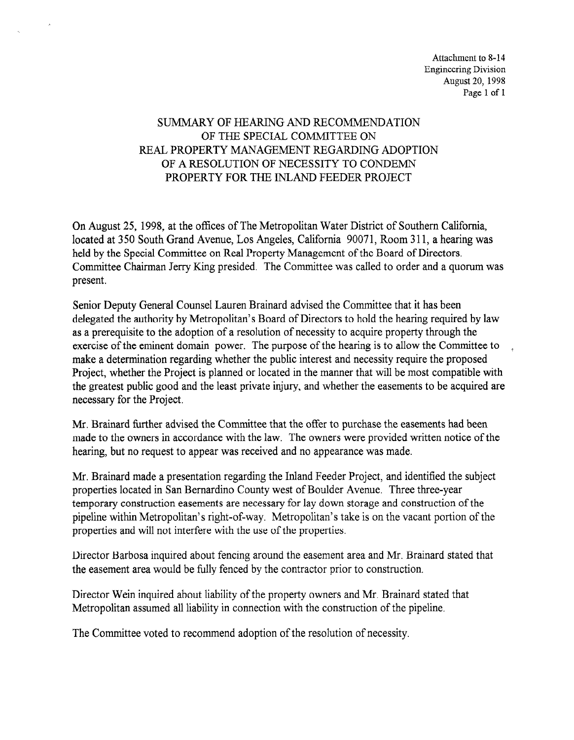Attachment to 8-14 Engineering Division August 20, 1998 Page 1 of 1

# SUMMARY OF HEARING AND RECOMMENDATION OF THE SPECIAL COMMITTEE ON REAL PROPERTY MANAGEMENT REGARDING ADOPTION OF A RESOLUTION OF NECESSITY TO CONDEMN PROPERTY FOR THE INLAND FEEDER PROJECT

On August 25, 1998, at the offices of The Metropolitan Water District of Southern California, located at 350 South Grand Avenue, Los Angeles, California 90071, Room 311, a hearing was held by the Special Committee on Real Property Management of the Board of Directors. Committee Chairman Jerry Ring presided. The Committee was called to order and a quorum was present.

Senior Deputy General Counsel Lauren Brainard advised the Committee that it has been delegated the authority by Metropolitan's Board of Directors to hold the hearing required by law as a prerequisite to the adoption of a resolution of necessity to acquire property through the exercise of the eminent of a resolution of the exercise of the hearing is the committee to  $\mathcal{L}$ exclude of the enfinite termination power. The public of the nearing is to anow the committee make a determination regarding whether the plant interest and necessity require the proposed the greatest public greatest private and the least private individual where  $\frac{1}{2}$ the greatest public good and the least private injury, and whether the easements to be acquired are necessary for the Project.

Mr. Brainard further advised the Committee that the offer to purchase the easements had been with Dramatu further auvised the Committee that the orier to purchase the easements had been made to the owners in accordance with the law. The owners were provided written notice of the hearing, but no request to appear was received and no appearance was made.

Mr. Brainard made a presentation regarding the Inland Feeder Project, and identified the subject properties located in San Bernardino County west of Boulder Avenue. Three three-year temporary construction easements are necessary for lay down storage and construction of the pipeline within Metropolitan's right-of-way. Metropolitan's take is on the vacant portion of the properties and will not interfere with the use of the properties.

Director Barbosa inquired about fencing around the easement area and Mr. Brainard stated that the easement area would be fully fenced by the contractor prior to construction.

Director Wein inquired about liability of the property owners and Mr. Brainard stated that Metropolitan assumed all liability in connection with the construction of the pipeline.

The Committee voted to recommend adoption of the resolution of necessity.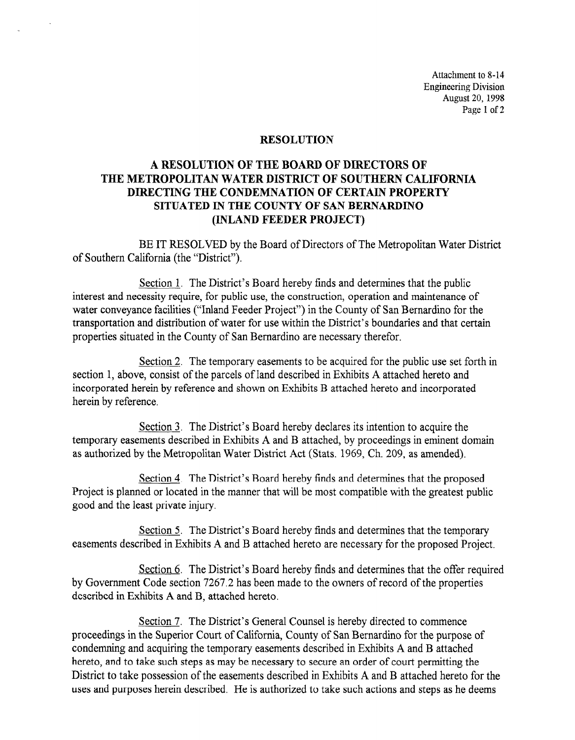Attachment to 8-14 Engineering Division August 20, 1998 Page 1 of 2

#### RESOLUTION

# A RESOLUTION OF THE BOARD OF DlRECTORS OF THE METROPOLITAN WATER DISTRICT OF SOUTHERN CALIFORNIA DIRECTING THE CONDEMNATION OF CERTAIN PROPERTY SITUATED IN THE COUNTY OF SAN BERNARDINO (INLAND FEEDER PROJECT)

BE IT RESOLVED by the Board of Directors of The Metropolitan Water District of Southern California (the "District").

Section 1. The District's Board hereby finds and determines that the public interest and necessity require, for public use, the construction, operation and maintenance of water conveyance facilities ("Inland Feeder Project") in the County of San Bernardino for the transportation and distribution of water for use within the District's boundaries and that certain properties situated in the County of San Bernardino are necessary therefor.

Section 2. The temporary easements to be acquired for the public use set forth in section 1, above, consist of the parcels of land described in Exhibits A attached hereto and incorporated herein by reference and shown on Exhibits B attached hereto and incorporated herein by reference.

Section 3. The District's Board hereby declares its intention to acquire the  $t_{\text{S}\text{C}\text{U}\text{O}\text{I}}$ , the District S board hereby declares its intention to acquire the temporary easements described in Exhibits A and B attached, by proceedings in eminent domain as authorized by the Metropolitan Water District Act (Stats. 1969, Ch. 209, as amended).

Section 4. The District's Board hereby finds and determines that the proposed Project is planned or located in the manner that will be most compatible with the greatest public good and the least private injury.

Section 5. The District's Board hereby finds and determines that the temporary easements described in Exhibits A and B attached hereto are necessary for the proposed Project.

Section 6. The District's Board hereby finds and determines that the offer required by Government Code section 7267.2 has been made to the owners of record of the properties described in Exhibits A and B, attached hereto.

Section 7. The District's General Counsel is hereby directed to commence proceedings in the Superior Court of California, County of San Bernardino for the purpose of condemning and acquiring the temporary easements described in Exhibits A and B attached hereto, and to take such steps as may be necessary to secure an order of court permitting the District to take possession of the easements described in Exhibits A and B attached hereto for the uses and purposes herein described. He is authorized to take such actions and steps as he deems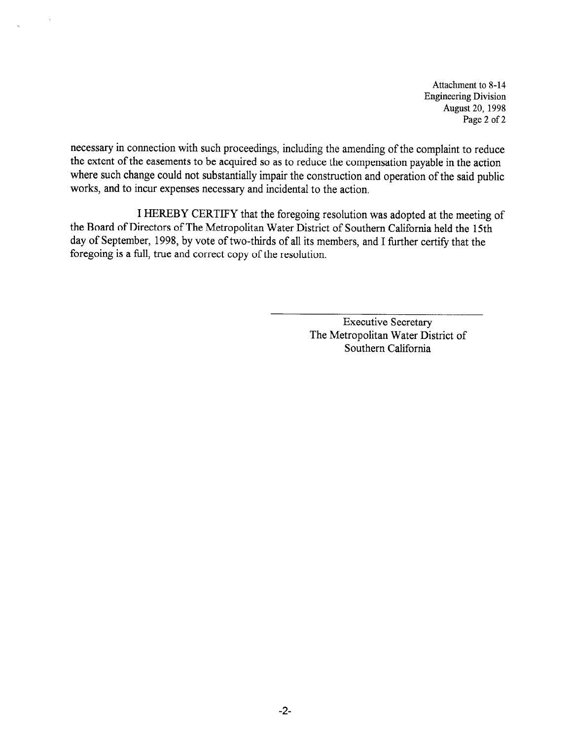Attachment to 8-11 Engineering Division August 20, 1998 Page 2 of 2

necessary in connection with such proceedings, including the amending of the complaint to reduce the extent of the easements to be acquired so as to reduce the compensation payable in the action where such change could not substantially impair the construction and operation of the said public works, and to incur expenses necessary and incidental to the action.

I HEREBY CERTIFY that the foregoing resolution was adopted at the meeting of the Board of Directors of The Metropolitan Water District of Southern California held the 15th day of September, 1998, by vote of two-thirds of all its members, and I further certify that the foregoing is a full, true and correct copy of the resolution.

> Executive Secretary The Metropolitan Water District of Southern California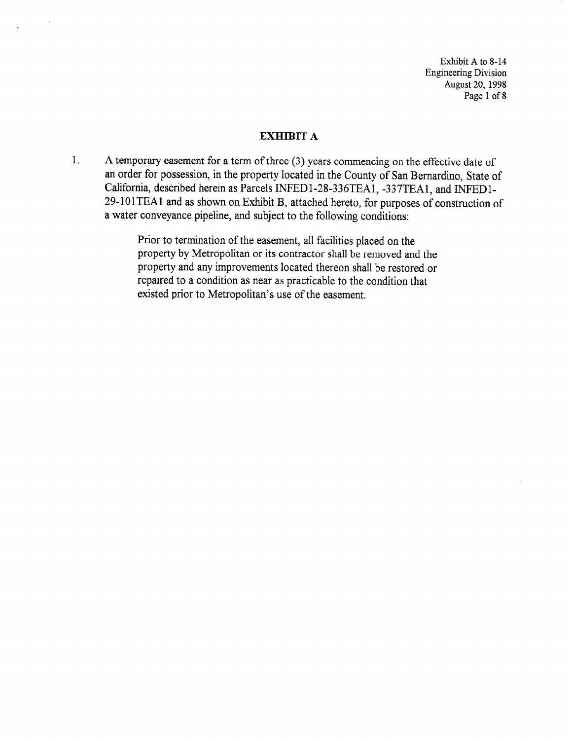Exhibit A to 8-14 Engineering Division August 20, 1998 Page 1 of 8

#### EXHIBIT A

1. A temporary easement for a term of three (3) years commencing on the effective date of an order for possession, in the property located in the County of San Bernardino, State of California, described herein as Parcels INFED1-28-336TEA1, -337TEA1, and INFED1-29-101TEAl and as shown on Exhibit B, attached hereto, for purposes of construction of a water conveyance pipeline, and subject to the following conditions:

> Prior to termination of the easement, all facilities placed on the property by Metropolitan or its contractor shall be removed and the property and any improvements located thereon shall be restored or repaired to a condition as near as practicable to the condition that existed prior to Metropolitan's use of the easement.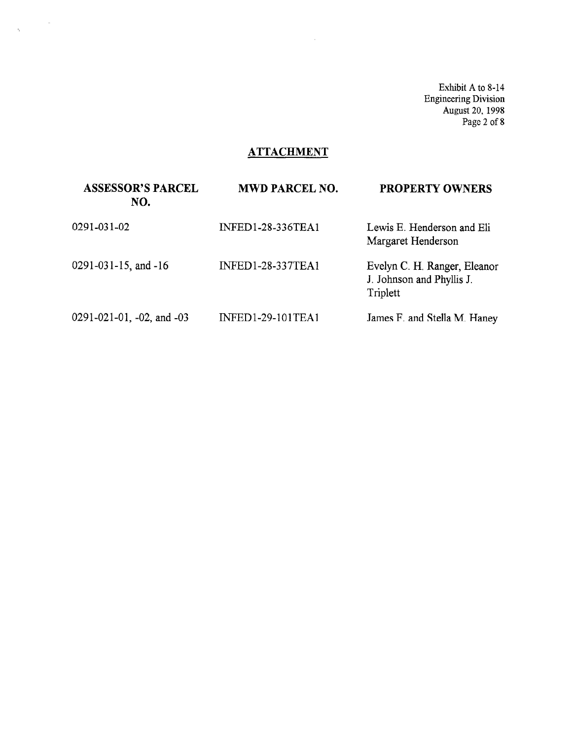Exhibit A to 8-14 Engineering Division August 20, 1998 Page 2 of 8

## **ATTACHMENT**

 $\sim 10^7$ 

| <b>ASSESSOR'S PARCEL</b><br>NO. | <b>MWD PARCEL NO.</b>    | <b>PROPERTY OWNERS</b>                                                |
|---------------------------------|--------------------------|-----------------------------------------------------------------------|
| 0291-031-02                     | INFED1-28-336TEA1        | Lewis E. Henderson and Eli<br>Margaret Henderson                      |
| 0291-031-15, and -16            | <b>INFED1-28-337TEA1</b> | Evelyn C. H. Ranger, Eleanor<br>J. Johnson and Phyllis J.<br>Triplett |
| 0291-021-01, -02, and -03       | INFED1-29-101TEA1        | James F. and Stella M. Haney                                          |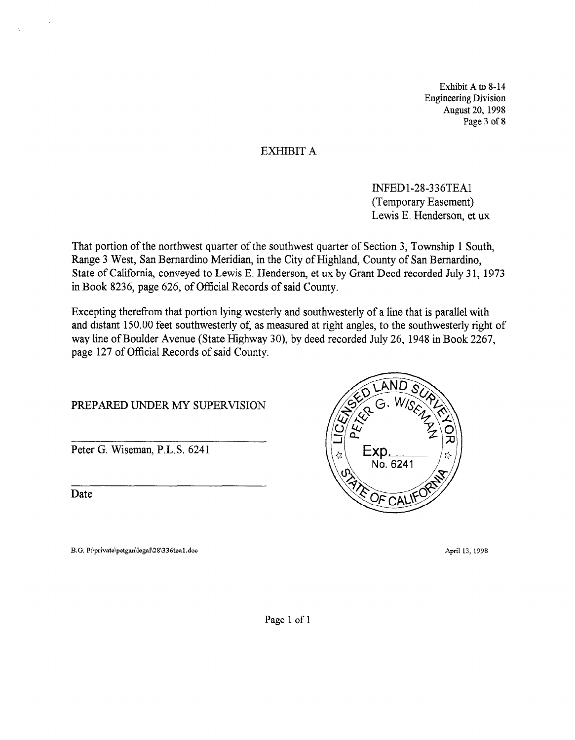Exhibit A to 8-14 Engineering Division August 20, 1998 Page 3 of 8

## EXHIBIT A

INFEDl-28336TEAl (Temporary Easement) Lewis E. Henderson, et ux

That portion of the northwest quarter of the southwest quarter of Section 3, Township 1 South, Range 3 West, San Bernardino Meridian, in the City of Highland, County of San Bernardino, State of California, conveyed to Lewis E. Henderson, et ux by Grant Deed recorded July 31, 1973 in Book 8236, page 626, of Official Records of said County.

Excepting therefrom that portion lying westerly and southwesterly of a line that is parallel with and distant 150.00 feet southwesterly of, as measured at right angles, to the southwesterly right of way line of Boulder Avenue (State Highway 30), by deed recorded July 26, 1948 in Book 2267, page 127 of Official Records of said County.

### PREPARED UNDER MY SUPERVISION

Peter G. Wiseman, P.L.S. 6241

<u>date</u>

B.G. P:\private\petgan\legal\28\336tea1.doc



April 13, 1998

Page 1 of 1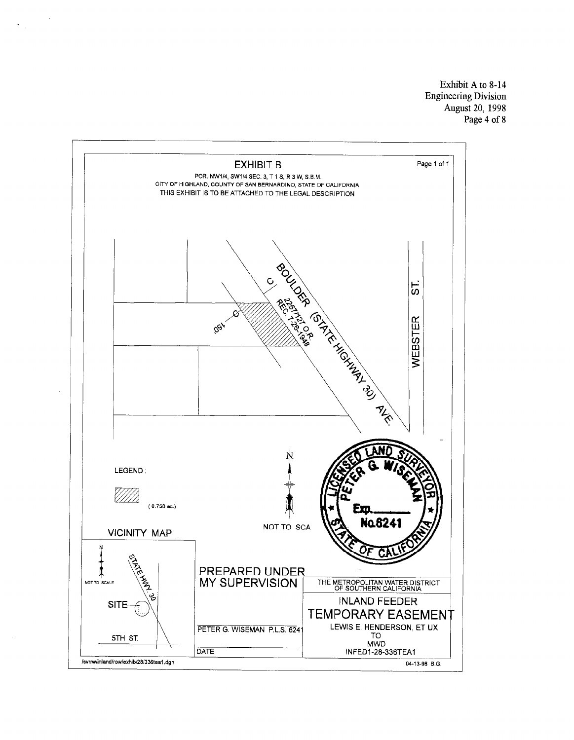Exhibit A to 8-14 Engineering Division August 20, 1998 Page 4 of 8

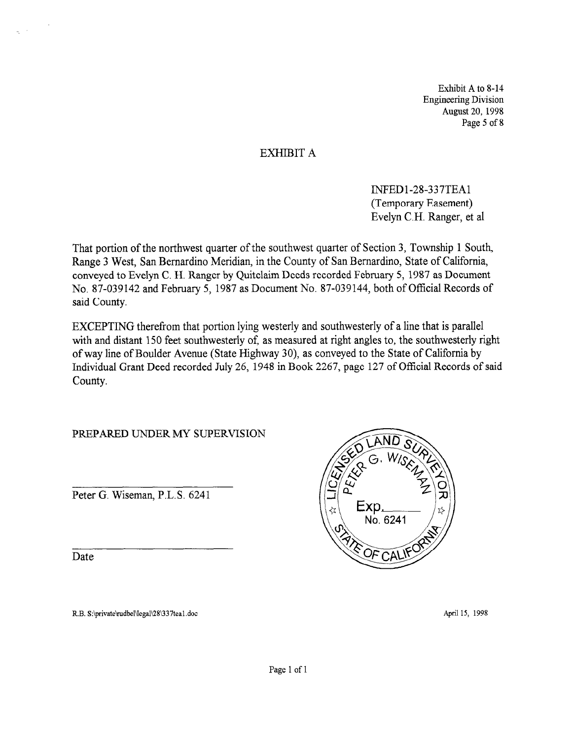Exhibit A to 8-14 Engineering Division August 20, 1998 Page 5 of 8

# EXHIBIT A

INFEDl-28-337TEAl (Temporary Easement) Evelyn C.H. Ranger, et al

That portion of the northwest quarter of the southwest quarter of Section 3, Township 1 South, Range 3 West, San Bernardino Meridian, in the County of San Bernardino, State of California, conveyed to Evelyn C. H. Ranger by Quitclaim Deeds recorded February 5, 1987 as Document No. 87-039142 and February 5, 1987 as Document No. 87-039144, both of Official Records of said County.

EXCEPTING therefrom that portion lying westerly and southwesterly of a line that is parallel with and distant 150 feet southwesterly of, as measured at right angles to, the southwesterly right of way line of Boulder Avenue (State Highway 30) as conveyed to the State of California by Individual Grant Deed recorded July 26, 1948 in Book 2267, page 127 of Official Records of said County.

PREPARED UNDER MY SUPERVISION

Peter G. Wiseman, P.L.S. 6241

<u>date</u> Date

 $\bar{z}$ 



R.B. S:\private\rudbel\legal\28\337tea1.doc

April 15, 1998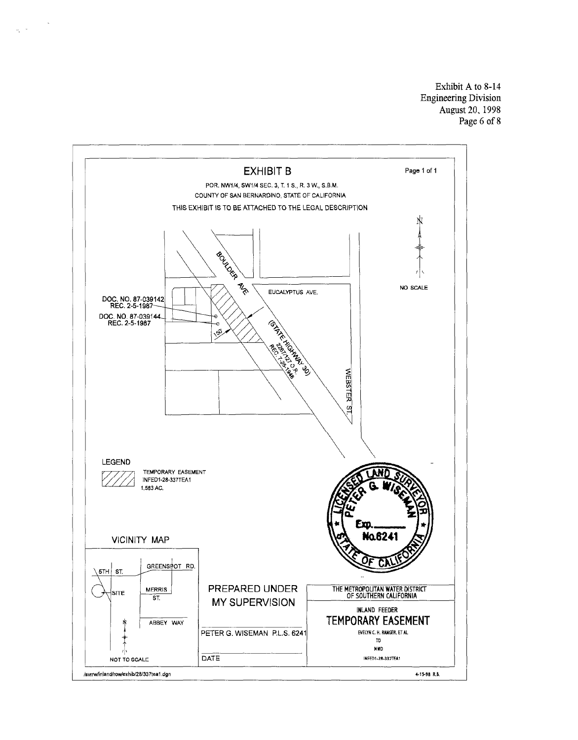Exhibit A to 8-14 Engineering Division August 20, 1998 Page 6 of 8



 $\langle \rho_{\rm g} \rangle / \sigma_{\rm g}$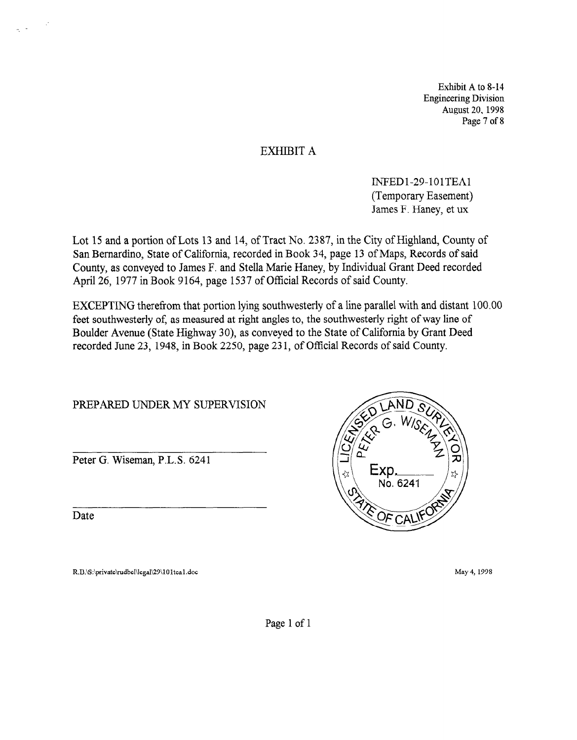Exhibit A to 8-14 Engineering Division August 20, 1998 Page 7 of 8

# EXHIBIT A

INFEDl-29-101TEAl (Temporary Easement) James F. Haney, et ux

Lot 15 and a portion of Lots 13 and 14, of Tract No. 2387, in the City of Highland, County of San Bernardino, State of California, recorded in Book 34, page 13 of Maps, Records of said County, as conveyed to James F. and Stella Marie Haney, by Individual Grant Deed recorded April 26, 1977 in Book 9164, page 1537 of Official Records of said County.

EXCEPTING therefrom that portion lying southwesterly of a line parallel with and distant 100.00 feet southwesterly of, as measured at right angles to, the southwesterly right of way line of Boulder Avenue (State Highway 30) as conveyed to the State of California by Grant Deed recorded June 23, 1948, in Book 2250, page 23 1, of Official Records of said County.

PREPARED UNDER MY SUPERVISION

Peter G. Wiseman, P.L.S. 6241

Date

R.B.\S:\private\rudbel\legal\29\101tea1.doc



May 4, 1998